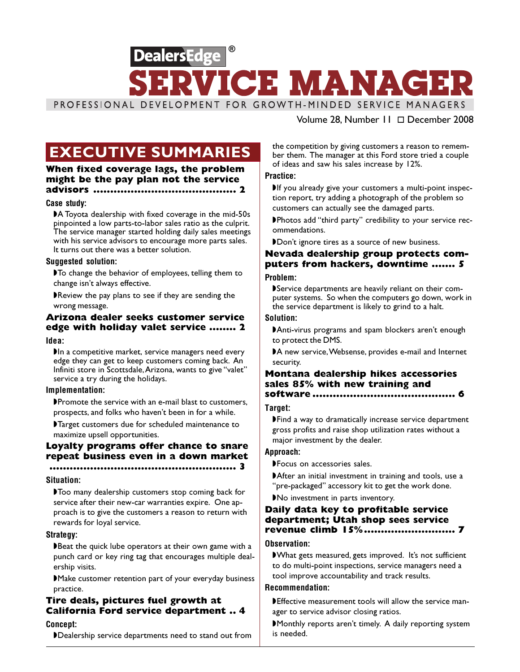

### Volume 28, Number 11 December 2008

When fixed coverage lags, the problem might be the pay plan not the service advisors .......................................... 2

#### Case study:

◗A Toyota dealership with fixed coverage in the mid-50s pinpointed a low parts-to-labor sales ratio as the culprit. The service manager started holding daily sales meetings with his service advisors to encourage more parts sales. It turns out there was a better solution.

#### Suggested solution:

◗To change the behavior of employees, telling them to change isn't always effective.

■Review the pay plans to see if they are sending the wrong message.

### Arizona dealer seeks customer service edge with holiday valet service ........ 2

#### Idea:

In a competitive market, service managers need every edge they can get to keep customers coming back. An Infiniti store in Scottsdale, Arizona, wants to give "valet" service a try during the holidays.

#### Implementation:

◗Promote the service with an e-mail blast to customers, prospects, and folks who haven't been in for a while.

◗Target customers due for scheduled maintenance to maximize upsell opportunities.

### Loyalty programs offer chance to snare repeat business even in a down market

#### ....................................................... 3

#### Situation:

◗Too many dealership customers stop coming back for service after their new-car warranties expire. One approach is to give the customers a reason to return with rewards for loyal service.

#### Strategy:

▶Beat the quick lube operators at their own game with a punch card or key ring tag that encourages multiple dealership visits.

◗Make customer retention part of your everyday business practice.

# Tire deals, pictures fuel growth at California Ford service department .. 4

Concept:

◗Dealership service departments need to stand out from

**EXECUTIVE SUMMARIES** the competition by giving customers a reason to remem-<br>ber them. The manager at this Ford store tried a couple ber them. The manager at this Ford store tried a couple of ideas and saw his sales increase by 12%.

#### Practice:

If you already give your customers a multi-point inspection report, try adding a photograph of the problem so customers can actually see the damaged parts.

◗Photos add "third party" credibility to your service recommendations.

◗Don't ignore tires as a source of new business.

# Nevada dealership group protects computers from hackers, downtime ....... 5

### Problem:

◗Service departments are heavily reliant on their computer systems. So when the computers go down, work in the service department is likely to grind to a halt.

#### Solution:

◗Anti-virus programs and spam blockers aren't enough to protect the DMS.

◗A new service, Websense, provides e-mail and Internet security.

## Montana dealership hikes accessories sales 85% with new training and

### software .......................................... 6

### Target:

◗Find a way to dramatically increase service department gross profits and raise shop utilization rates without a major investment by the dealer.

#### Approach:

◗Focus on accessories sales.

■After an initial investment in training and tools, use a "pre-packaged" accessory kit to get the work done.

◗No investment in parts inventory.

#### Daily data key to profitable service department; Utah shop sees service revenue climb 15% ........................... 7

#### Observation:

◗What gets measured, gets improved. It's not sufficient to do multi-point inspections, service managers need a tool improve accountability and track results.

### Recommendation:

◗Effective measurement tools will allow the service manager to service advisor closing ratios.

■Monthly reports aren't timely. A daily reporting system is needed.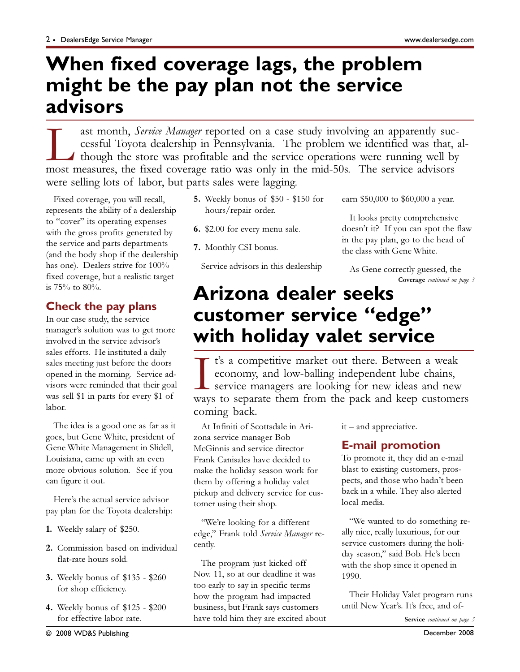# **When fixed coverage lags, the problem might be the pay plan not the service advisors**

ast month, *Service Manager* reported on a case study involving an apparently successful Toyota dealership in Pennsylvania. The problem we identified was that, at though the store was profitable and the service operations cessful Toyota dealership in Pennsylvania. The problem we identified was that, although the store was profitable and the service operations were running well by most measures, the fixed coverage ratio was only in the mid-50s. The service advisors were selling lots of labor, but parts sales were lagging.

Fixed coverage, you will recall, represents the ability of a dealership to "cover" its operating expenses with the gross profits generated by the service and parts departments (and the body shop if the dealership has one). Dealers strive for 100% fixed coverage, but a realistic target is 75% to 80%.

# Check the pay plans

In our case study, the service manager's solution was to get more involved in the service advisor's sales efforts. He instituted a daily sales meeting just before the doors opened in the morning. Service advisors were reminded that their goal was sell \$1 in parts for every \$1 of labor.

The idea is a good one as far as it goes, but Gene White, president of Gene White Management in Slidell, Louisiana, came up with an even more obvious solution. See if you can figure it out.

Here's the actual service advisor pay plan for the Toyota dealership:

- 1. Weekly salary of \$250.
- 2. Commission based on individual flat-rate hours sold.
- 3. Weekly bonus of \$135 \$260 for shop efficiency.
- 4. Weekly bonus of \$125 \$200 for effective labor rate.
- 5. Weekly bonus of \$50 \$150 for hours/repair order.
- 6. \$2.00 for every menu sale.
- 7. Monthly CSI bonus.

Service advisors in this dealership

earn \$50,000 to \$60,000 a year.

It looks pretty comprehensive doesn't it? If you can spot the flaw in the pay plan, go to the head of the class with Gene White.

As Gene correctly guessed, the Coverage continued on page 3

# **Arizona dealer seeks customer service "edge" with holiday valet service**

I t's a competitive market out there. Between a weak<br>economy, and low-balling independent lube chains,<br>service managers are looking for new ideas and new<br>ways to separate them from the pack and keep customers t's a competitive market out there. Between a weak economy, and low-balling independent lube chains, service managers are looking for new ideas and new coming back.

At Infiniti of Scottsdale in Arizona service manager Bob McGinnis and service director Frank Canisales have decided to make the holiday season work for them by offering a holiday valet pickup and delivery service for customer using their shop.

"We're looking for a different edge," Frank told Service Manager recently.

The program just kicked off Nov. 11, so at our deadline it was too early to say in specific terms how the program had impacted business, but Frank says customers have told him they are excited about it – and appreciative.

# E-mail promotion

To promote it, they did an e-mail blast to existing customers, prospects, and those who hadn't been back in a while. They also alerted local media.

"We wanted to do something really nice, really luxurious, for our service customers during the holiday season," said Bob. He's been with the shop since it opened in 1990.

Their Holiday Valet program runs until New Year's. It's free, and of-

Service continued on page 3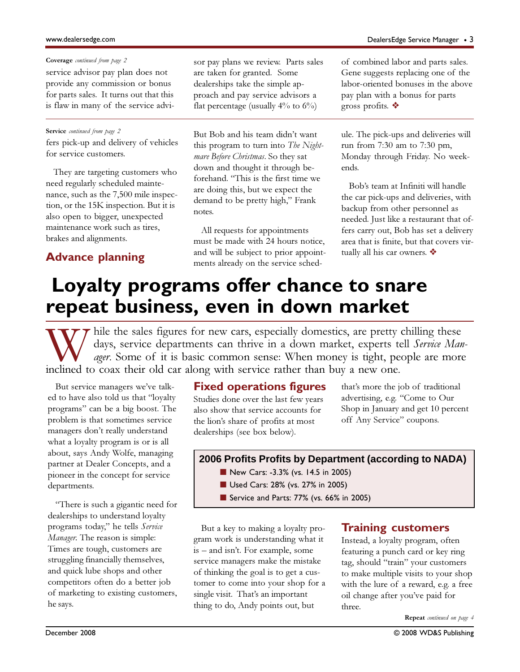### Coverage continued from page 2

service advisor pay plan does not provide any commission or bonus for parts sales. It turns out that this is flaw in many of the service advi-

fers pick-up and delivery of vehicles for service customers.

They are targeting customers who need regularly scheduled maintenance, such as the 7,500 mile inspection, or the 15K inspection. But it is also open to bigger, unexpected maintenance work such as tires, brakes and alignments.

# Advance planning

sor pay plans we review. Parts sales are taken for granted. Some dealerships take the simple approach and pay service advisors a flat percentage (usually  $4\%$  to  $6\%$ )

Service *continued from page 2* But Bob and his team didn't want this program to turn into The Nightmare Before Christmas. So they sat down and thought it through beforehand. "This is the first time we are doing this, but we expect the demand to be pretty high," Frank notes.

> All requests for appointments must be made with 24 hours notice, and will be subject to prior appointments already on the service sched-

of combined labor and parts sales. Gene suggests replacing one of the labor-oriented bonuses in the above pay plan with a bonus for parts gross profits. ❖

ule. The pick-ups and deliveries will run from 7:30 am to 7:30 pm, Monday through Friday. No weekends.

Bob's team at Infiniti will handle the car pick-ups and deliveries, with backup from other personnel as needed. Just like a restaurant that offers carry out, Bob has set a delivery area that is finite, but that covers virtually all his car owners. ❖

# **Loyalty programs offer chance to snare repeat business, even in down market**

hile the sales figures for new cars, especially domestics, are pretty chilling these days, service departments can thrive in a down market, experts tell Service Man*ager*. Some of it is basic common sense: When money is tight, people are more inclined to coax their old car along with service rather than buy a new one.

But service managers we've talked to have also told us that "loyalty programs" can be a big boost. The problem is that sometimes service managers don't really understand what a loyalty program is or is all about, says Andy Wolfe, managing partner at Dealer Concepts, and a pioneer in the concept for service departments.

"There is such a gigantic need for dealerships to understand loyalty programs today," he tells Service Manager. The reason is simple: Times are tough, customers are struggling financially themselves, and quick lube shops and other competitors often do a better job of marketing to existing customers, he says.

# Fixed operations figures

Studies done over the last few years also show that service accounts for the lion's share of profits at most dealerships (see box below).

that's more the job of traditional advertising, e.g. "Come to Our Shop in January and get 10 percent off Any Service" coupons.

## **2006 Profits Profits by Department (according to NADA)**

- New Cars: -3.3% (vs. 14.5 in 2005)
- Used Cars: 28% (vs. 27% in 2005)
- Service and Parts: 77% (vs. 66% in 2005)

But a key to making a loyalty program work is understanding what it is – and isn't. For example, some service managers make the mistake of thinking the goal is to get a customer to come into your shop for a single visit. That's an important thing to do, Andy points out, but

# Training customers

Instead, a loyalty program, often featuring a punch card or key ring tag, should "train" your customers to make multiple visits to your shop with the lure of a reward, e.g. a free oil change after you've paid for three.

Repeat continued on page 4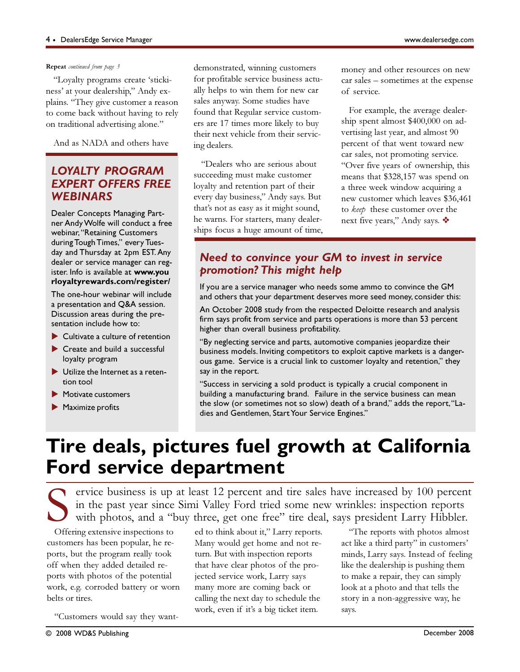#### Repeat continued from page 3

"Loyalty programs create 'stickiness' at your dealership," Andy explains. "They give customer a reason to come back without having to rely on traditional advertising alone."

And as NADA and others have

# LOYALTY PROGRAM EXPERT OFFERS FREE **WEBINARS**

Dealer Concepts Managing Partner Andy Wolfe will conduct a free webinar, "Retaining Customers during Tough Times," every Tuesday and Thursday at 2pm EST. Any dealer or service manager can register. Info is available at www.you rloyaltyrewards.com/register/

The one-hour webinar will include a presentation and Q&A session. Discussion areas during the presentation include how to:

- $\blacktriangleright$  Cultivate a culture of retention
- Create and build a successful loyalty program
- Utilize the Internet as a retention tool
- Motivate customers
- **Maximize profits**

demonstrated, winning customers for profitable service business actually helps to win them for new car sales anyway. Some studies have found that Regular service customers are 17 times more likely to buy their next vehicle from their servicing dealers.

"Dealers who are serious about succeeding must make customer loyalty and retention part of their every day business," Andy says. But that's not as easy as it might sound, he warns. For starters, many dealerships focus a huge amount of time, money and other resources on new car sales – sometimes at the expense of service.

For example, the average dealership spent almost \$400,000 on advertising last year, and almost 90 percent of that went toward new car sales, not promoting service. "Over five years of ownership, this means that \$328,157 was spend on a three week window acquiring a new customer which leaves \$36,461 to keep these customer over the next five years," Andy says. ❖

# Need to convince your GM to invest in service promotion? This might help

If you are a service manager who needs some ammo to convince the GM and others that your department deserves more seed money, consider this:

An October 2008 study from the respected Deloitte research and analysis firm says profit from service and parts operations is more than 53 percent higher than overall business profitability.

"By neglecting service and parts, automotive companies jeopardize their business models. Inviting competitors to exploit captive markets is a dangerous game. Service is a crucial link to customer loyalty and retention," they say in the report.

"Success in servicing a sold product is typically a crucial component in building a manufacturing brand. Failure in the service business can mean the slow (or sometimes not so slow) death of a brand," adds the report, "Ladies and Gentlemen, Start Your Service Engines."

# **Tire deals, pictures fuel growth at California Ford service department**

ervice business is up at least 12 percent and tire sales have increased by 100 percent in the past year since Simi Valley Ford tried some new wrinkles: inspection reports with photos, and a "buy three, get one free" tire deal, says president Larry Hibbler.

Offering extensive inspections to customers has been popular, he reports, but the program really took off when they added detailed reports with photos of the potential work, e.g. corroded battery or worn belts or tires.

"Customers would say they want-

ed to think about it," Larry reports. Many would get home and not return. But with inspection reports that have clear photos of the projected service work, Larry says many more are coming back or calling the next day to schedule the work, even if it's a big ticket item.

"The reports with photos almost act like a third party" in customers' minds, Larry says. Instead of feeling like the dealership is pushing them to make a repair, they can simply look at a photo and that tells the story in a non-aggressive way, he says.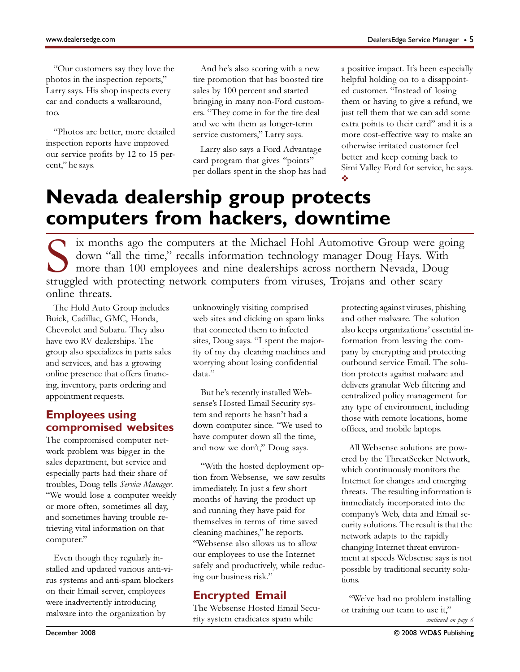"Our customers say they love the photos in the inspection reports," Larry says. His shop inspects every car and conducts a walkaround, too.

"Photos are better, more detailed inspection reports have improved our service profits by 12 to 15 percent," he says.

And he's also scoring with a new tire promotion that has boosted tire sales by 100 percent and started bringing in many non-Ford customers. "They come in for the tire deal and we win them as longer-term service customers," Larry says.

Larry also says a Ford Advantage card program that gives "points" per dollars spent in the shop has had a positive impact. It's been especially helpful holding on to a disappointed customer. "Instead of losing them or having to give a refund, we just tell them that we can add some extra points to their card" and it is a more cost-effective way to make an otherwise irritated customer feel better and keep coming back to Simi Valley Ford for service, he says. ❖

# **Nevada dealership group protects computers from hackers, downtime**

IN EX ix months ago the computers at the Michael Hohl Automotive Group were going<br>down "all the time" recalls information to be a large to be a large set of the state of the state of the state of the state of the state of down "all the time," recalls information technology manager Doug Hays. With more than 100 employees and nine dealerships across northern Nevada, Doug struggled with protecting network computers from viruses, Trojans and other scary online threats.

The Hold Auto Group includes Buick, Cadillac, GMC, Honda, Chevrolet and Subaru. They also have two RV dealerships. The group also specializes in parts sales and services, and has a growing online presence that offers financing, inventory, parts ordering and appointment requests.

# Employees using compromised websites

The compromised computer network problem was bigger in the sales department, but service and especially parts had their share of troubles, Doug tells Service Manager. "We would lose a computer weekly or more often, sometimes all day, and sometimes having trouble retrieving vital information on that computer."

Even though they regularly installed and updated various anti-virus systems and anti-spam blockers on their Email server, employees were inadvertently introducing malware into the organization by

unknowingly visiting comprised web sites and clicking on spam links that connected them to infected sites, Doug says. "I spent the majority of my day cleaning machines and worrying about losing confidential data."

But he's recently installed Websense's Hosted Email Security system and reports he hasn't had a down computer since. "We used to have computer down all the time, and now we don't," Doug says.

"With the hosted deployment option from Websense, we saw results immediately. In just a few short months of having the product up and running they have paid for themselves in terms of time saved cleaning machines," he reports. "Websense also allows us to allow our employees to use the Internet safely and productively, while reducing our business risk."

# Encrypted Email

The Websense Hosted Email Security system eradicates spam while

protecting against viruses, phishing and other malware. The solution also keeps organizations' essential information from leaving the company by encrypting and protecting outbound service Email. The solution protects against malware and delivers granular Web filtering and centralized policy management for any type of environment, including those with remote locations, home offices, and mobile laptops.

All Websense solutions are powered by the ThreatSeeker Network, which continuously monitors the Internet for changes and emerging threats. The resulting information is immediately incorporated into the company's Web, data and Email security solutions. The result is that the network adapts to the rapidly changing Internet threat environment at speeds Websense says is not possible by traditional security solutions.

"We've had no problem installing or training our team to use it,"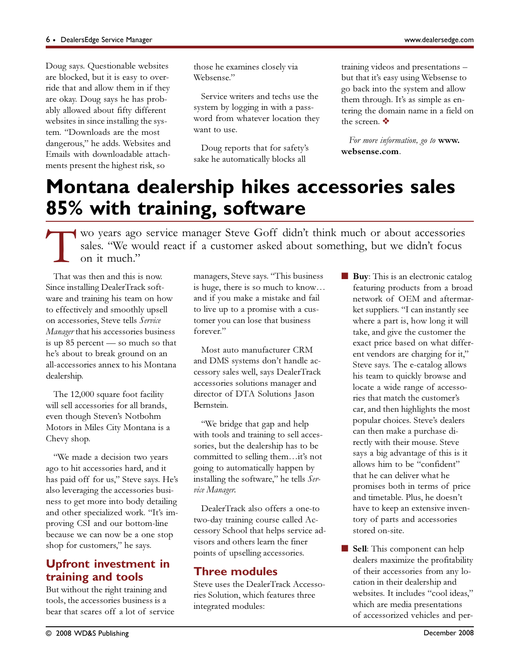Doug says. Questionable websites are blocked, but it is easy to override that and allow them in if they are okay. Doug says he has probably allowed about fifty different websites in since installing the system. "Downloads are the most dangerous," he adds. Websites and Emails with downloadable attachments present the highest risk, so

those he examines closely via Websense"

Service writers and techs use the system by logging in with a password from whatever location they want to use.

Doug reports that for safety's sake he automatically blocks all

training videos and presentations – but that it's easy using Websense to go back into the system and allow them through. It's as simple as entering the domain name in a field on the screen. ❖

For more information, go to www. websense.com.

# **Montana dealership hikes accessories sales 85% with training, software**

T wo years ago service manager Steve Goff didn't think much or about accessories sales. "We would react if a customer asked about something, but we didn't focus on it much."

That was then and this is now. Since installing DealerTrack software and training his team on how to effectively and smoothly upsell on accessories, Steve tells Service Manager that his accessories business is up 85 percent — so much so that he's about to break ground on an all-accessories annex to his Montana dealership.

The 12,000 square foot facility will sell accessories for all brands, even though Steven's Notbohm Motors in Miles City Montana is a Chevy shop.

"We made a decision two years ago to hit accessories hard, and it has paid off for us," Steve says. He's also leveraging the accessories business to get more into body detailing and other specialized work. "It's improving CSI and our bottom-line because we can now be a one stop shop for customers," he says.

# Upfront investment in training and tools

But without the right training and tools, the accessories business is a bear that scares off a lot of service managers, Steve says. "This business is huge, there is so much to know… and if you make a mistake and fail to live up to a promise with a customer you can lose that business forever."

Most auto manufacturer CRM and DMS systems don't handle accessory sales well, says DealerTrack accessories solutions manager and director of DTA Solutions Jason Bernstein.

"We bridge that gap and help with tools and training to sell accessories, but the dealership has to be committed to selling them…it's not going to automatically happen by installing the software," he tells Service Manager.

DealerTrack also offers a one-to two-day training course called Accessory School that helps service advisors and others learn the finer points of upselling accessories.

# Three modules

Steve uses the DealerTrack Accessories Solution, which features three integrated modules:

- Buy: This is an electronic catalog featuring products from a broad network of OEM and aftermarket suppliers. "I can instantly see where a part is, how long it will take, and give the customer the exact price based on what different vendors are charging for it," Steve says. The e-catalog allows his team to quickly browse and locate a wide range of accessories that match the customer's car, and then highlights the most popular choices. Steve's dealers can then make a purchase directly with their mouse. Steve says a big advantage of this is it allows him to be "confident" that he can deliver what he promises both in terms of price and timetable. Plus, he doesn't have to keep an extensive inventory of parts and accessories stored on-site.
- Sell: This component can help dealers maximize the profitability of their accessories from any location in their dealership and websites. It includes "cool ideas," which are media presentations of accessorized vehicles and per-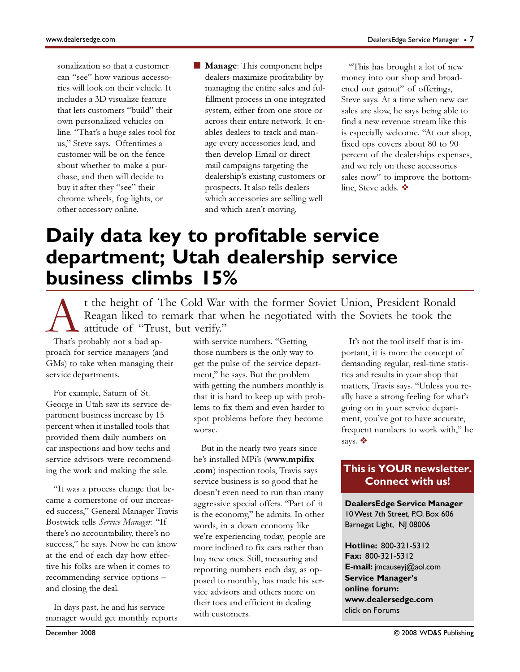sonalization so that a customer can "see" how various accessories will look on their vehicle. It includes a 3D visualize feature that lets customers "build" their own personalized vehicles on line. "That's a huge sales tool for us," Steve says. Oftentimes a customer will be on the fence about whether to make a purchase, and then will decide to buy it after they "see" their chrome wheels, fog lights, or other accessory online.

■ **Manage**: This component helps dealers maximize profitability by managing the entire sales and fulfillment process in one integrated system, either from one store or across their entire network. It enables dealers to track and manage every accessories lead, and then develop Email or direct mail campaigns targeting the dealership's existing customers or prospects. It also tells dealers which accessories are selling well and which aren't moving.

"This has brought a lot of new money into our shop and broadened our gamut" of offerings, Steve says. At a time when new car sales are slow, he says being able to find a new revenue stream like this is especially welcome. "At our shop, fixed ops covers about 80 to 90 percent of the dealerships expenses, and we rely on these accessories sales now" to improve the bottomline, Steve adds. ❖

# **Daily data key to profitable service department; Utah dealership service business climbs 15%**

t the height of The Cold War with the former Soviet Union, President Ronald<br>Reagan liked to remark that when he negotiated with the Soviets he took the<br>attitude of "Trust, but verify."<br>That's probably not a bad ap-with ser Reagan liked to remark that when he negotiated with the Soviets he took the attitude of "Trust, but verify."

That's probably not a bad approach for service managers (and GMs) to take when managing their service departments.

For example, Saturn of St. George in Utah saw its service department business increase by 15 percent when it installed tools that provided them daily numbers on car inspections and how techs and service advisors were recommending the work and making the sale.

"It was a process change that became a cornerstone of our increased success," General Manager Travis Bostwick tells Service Manager. "If there's no accountability, there's no success," he says. Now he can know at the end of each day how effective his folks are when it comes to recommending service options – and closing the deal.

In days past, he and his service manager would get monthly reports with service numbers. "Getting those numbers is the only way to get the pulse of the service department," he says. But the problem with getting the numbers monthly is that it is hard to keep up with problems to fix them and even harder to spot problems before they become worse.

But in the nearly two years since he's installed MPi's (www.mpifix .com) inspection tools, Travis says service business is so good that he doesn't even need to run than many aggressive special offers. "Part of it is the economy," he admits. In other words, in a down economy like we're experiencing today, people are more inclined to fix cars rather than buy new ones. Still, measuring and reporting numbers each day, as opposed to monthly, has made his service advisors and others more on their toes and efficient in dealing with customers.

It's not the tool itself that is important, it is more the concept of demanding regular, real-time statistics and results in your shop that matters, Travis says. "Unless you really have a strong feeling for what's going on in your service department, you've got to have accurate, frequent numbers to work with," he says. ❖

# **This is YOUR newsletter. Connect with us!**

**DealersEdge Service Manager** 10 West 7th Street, P.O. Box 606 Barnegat Light, NJ 08006

**Hotline:** 800-321-5312 **Fax:** 800-321-5312 **E-mail:** jmcauseyj@aol.com **Service Manager's online forum: www.dealersedge.com** click on Forums